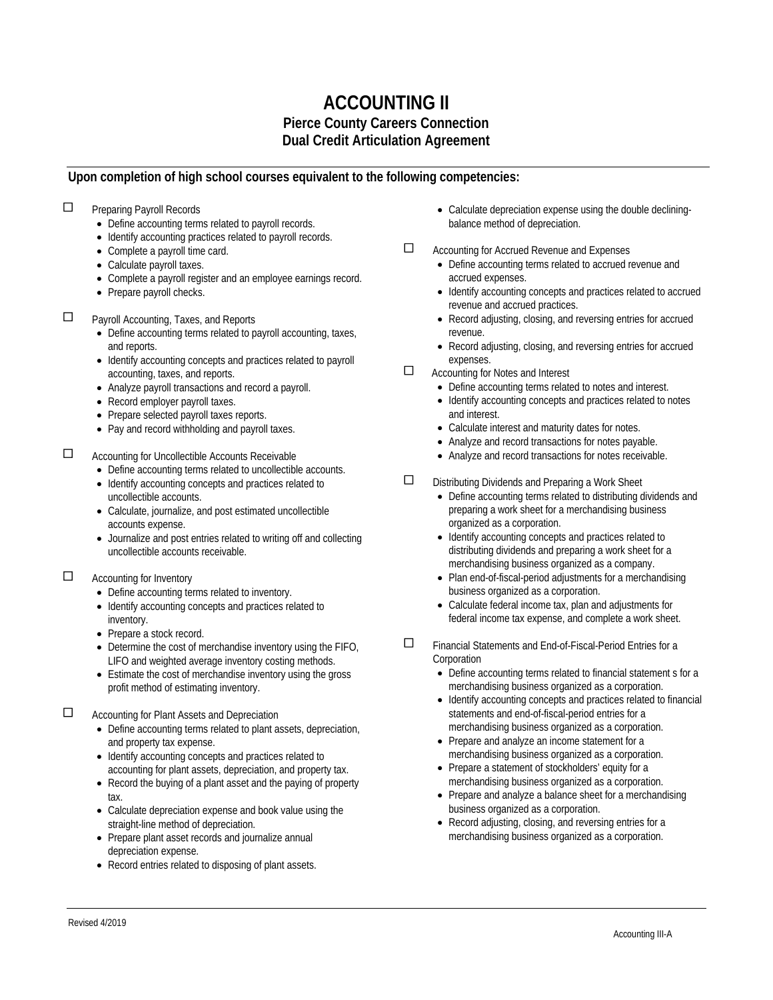## **ACCOUNTING II Pierce County Careers Connection Dual Credit Articulation Agreement**

## **Upon completion of high school courses equivalent to the following competencies:**

- **Preparing Payroll Records** 
	- Define accounting terms related to payroll records.
	- Identify accounting practices related to payroll records.
	- Complete a payroll time card.
	- Calculate payroll taxes.
	- Complete a payroll register and an employee earnings record.
	- Prepare payroll checks.
- **D** Payroll Accounting, Taxes, and Reports
	- Define accounting terms related to payroll accounting, taxes, and reports.
	- Identify accounting concepts and practices related to payroll accounting, taxes, and reports.
	- Analyze payroll transactions and record a payroll.
	- Record employer payroll taxes.
	- Prepare selected payroll taxes reports.
	- Pay and record withholding and payroll taxes.

Accounting for Uncollectible Accounts Receivable

- Define accounting terms related to uncollectible accounts.
- Identify accounting concepts and practices related to uncollectible accounts.
- Calculate, journalize, and post estimated uncollectible accounts expense.
- Journalize and post entries related to writing off and collecting uncollectible accounts receivable.

## $\Box$  Accounting for Inventory

- Define accounting terms related to inventory.
- Identify accounting concepts and practices related to inventory.
- Prepare a stock record.
- Determine the cost of merchandise inventory using the FIFO, LIFO and weighted average inventory costing methods.
- Estimate the cost of merchandise inventory using the gross profit method of estimating inventory.
- □ Accounting for Plant Assets and Depreciation
	- Define accounting terms related to plant assets, depreciation, and property tax expense.
	- Identify accounting concepts and practices related to accounting for plant assets, depreciation, and property tax.
	- Record the buying of a plant asset and the paying of property tax.
	- Calculate depreciation expense and book value using the straight-line method of depreciation.
	- Prepare plant asset records and journalize annual depreciation expense.
	- Record entries related to disposing of plant assets.
- Calculate depreciation expense using the double decliningbalance method of depreciation.
- Accounting for Accrued Revenue and Expenses
	- Define accounting terms related to accrued revenue and accrued expenses.
		- Identify accounting concepts and practices related to accrued revenue and accrued practices.
		- Record adjusting, closing, and reversing entries for accrued revenue.
		- Record adjusting, closing, and reversing entries for accrued expenses.
- □ Accounting for Notes and Interest
	- Define accounting terms related to notes and interest.
	- Identify accounting concepts and practices related to notes and interest.
	- Calculate interest and maturity dates for notes.
	- Analyze and record transactions for notes payable.
	- Analyze and record transactions for notes receivable.
- $\square$  Distributing Dividends and Preparing a Work Sheet
	- Define accounting terms related to distributing dividends and preparing a work sheet for a merchandising business organized as a corporation.
	- Identify accounting concepts and practices related to distributing dividends and preparing a work sheet for a merchandising business organized as a company.
	- Plan end-of-fiscal-period adjustments for a merchandising business organized as a corporation.
	- Calculate federal income tax, plan and adjustments for federal income tax expense, and complete a work sheet.
- Financial Statements and End-of-Fiscal-Period Entries for a **Corporation** 
	- Define accounting terms related to financial statement s for a merchandising business organized as a corporation.
	- Identify accounting concepts and practices related to financial statements and end-of-fiscal-period entries for a merchandising business organized as a corporation.
	- Prepare and analyze an income statement for a merchandising business organized as a corporation.
	- Prepare a statement of stockholders' equity for a merchandising business organized as a corporation.
	- Prepare and analyze a balance sheet for a merchandising business organized as a corporation.
	- Record adjusting, closing, and reversing entries for a merchandising business organized as a corporation.